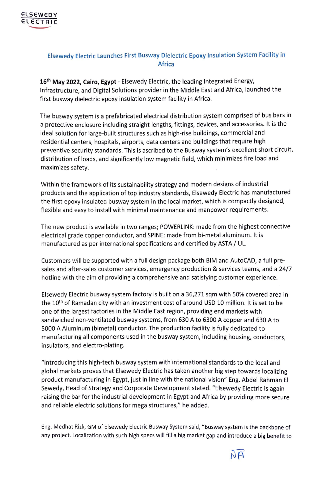

## **Elsewedy Electric Launches First Busway Dielectric Epoxy Insulation System Facility** in **Africa**

**16th May 2022, Cairo, Egypt** - Elsewedy Electric, the leading Integrated Energy, Infrastructure, and Digital Solutions provider in the Middle East and Africa, launched the first busway dielectric epoxy insulation system facility in Africa.

The busway system is a prefabricated electrical distribution system comprised of bus bars in a protective enclosure including straight lengths, fittings, devices, and accessories. It is the ideal solution for large-built structures such as high-rise buildings, commercial and residential centers, hospitals, airports, data centers and buildings that require high preventive security standards. This is ascribed to the Busway system's excellent short circuit, distribution of loads, and significantly low magnetic field, which minimizes fire load and maximizes safety.

Within the framework of its sustainability strategy and modern designs of industrial products and the application of top industry standards, Elsewedy Electric has manufactured the first epoxy insulated busway system in the local market, which is compactly designed, flexible and easy to install with minimal maintenance and manpower requirements.

The new product is available in two ranges; POWERLINK: made from the highest connective electrical grade copper conductor, and SPINE: made from bi-metal aluminum. It is manufactured as per international specifications and certified by ASTA/ UL.

Customers will be supported with a full design package both BIM and AutoCAD, a full presales and after-sales customer services, emergency production & services teams, and a 24/7 hotline with the aim of providing a comprehensive and satisfying customer experience.

Elsewedy Electric busway system factory is built on a 36,271 sqm with 50% covered area in the 10<sup>th</sup> of Ramadan city with an investment cost of around USD 10 million. It is set to be one of the largest factories in the Middle East region, providing end markets with sandwiched non-ventilated busway systems, from 630 A to 6300 A copper and 630 A to 5000 A Aluminum (bimetal) conductor. The production facility is fully dedicated to manufacturing all components used in the busway system, including housing, conductors, insulators, and electro-plating.

"Introducing this high-tech busway system with international standards to the local and global markets proves that Elsewedy Electric has taken another big step towards localizing product manufacturing in Egypt, just in line with the national vision" Eng. Abdel Rahman El Sewedy, Head of Strategy and Corporate Development stated. "Elsewedy Electric is again raising the bar for the industrial development in Egypt and Africa by providing more secure and reliable electric solutions for mega structures," he added.

Eng. Medhat Rizk, GM of Elsewedy Electric Busway System said, "Busway system is the backbone of any project. Localization with such high specs will fill a big market gap and introduce a big benefit to